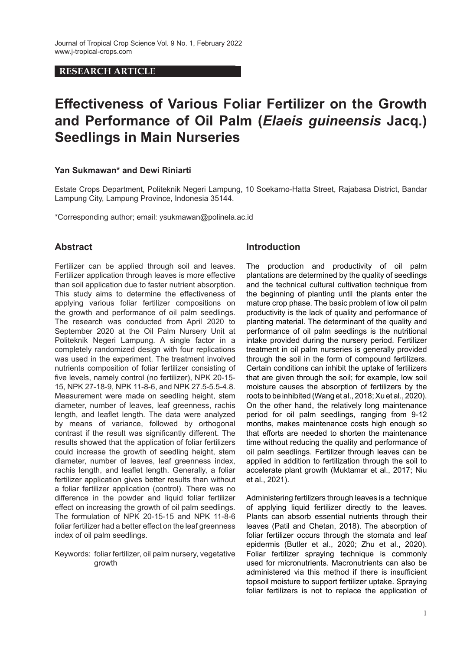## **RESEARCH ARTICLE**

# **Effectiveness of Various Foliar Fertilizer on the Growth and Performance of Oil Palm (***Elaeis guineensis* **Jacq.) Seedlings in Main Nurseries**

## **Yan Sukmawan\* and Dewi Riniarti**

Estate Crops Department, Politeknik Negeri Lampung, 10 Soekarno-Hatta Street, Rajabasa District, Bandar Lampung City, Lampung Province, Indonesia 35144.

\*Corresponding author; email: ysukmawan@polinela.ac.id

## **Abstract**

Fertilizer can be applied through soil and leaves. Fertilizer application through leaves is more effective than soil application due to faster nutrient absorption. This study aims to determine the effectiveness of applying various foliar fertilizer compositions on the growth and performance of oil palm seedlings. The research was conducted from April 2020 to September 2020 at the Oil Palm Nursery Unit at Politeknik Negeri Lampung. A single factor in a completely randomized design with four replications was used in the experiment. The treatment involved nutrients composition of foliar fertilizer consisting of five levels, namely control (no fertilizer), NPK 20-15- 15, NPK 27-18-9, NPK 11-8-6, and NPK 27.5-5.5-4.8. Measurement were made on seedling height, stem diameter, number of leaves, leaf greenness, rachis length, and leaflet length. The data were analyzed by means of variance, followed by orthogonal contrast if the result was significantly different. The results showed that the application of foliar fertilizers could increase the growth of seedling height, stem diameter, number of leaves, leaf greenness index, rachis length, and leaflet length. Generally, a foliar fertilizer application gives better results than without a foliar fertilizer application (control). There was no difference in the powder and liquid foliar fertilizer effect on increasing the growth of oil palm seedlings. The formulation of NPK 20-15-15 and NPK 11-8-6 foliar fertilizer had a better effect on the leaf greenness index of oil palm seedlings.

Keywords: foliar fertilizer, oil palm nursery, vegetative growth

## **Introduction**

The production and productivity of oil palm plantations are determined by the quality of seedlings and the technical cultural cultivation technique from the beginning of planting until the plants enter the mature crop phase. The basic problem of low oil palm productivity is the lack of quality and performance of planting material. The determinant of the quality and performance of oil palm seedlings is the nutritional intake provided during the nursery period. Fertilizer treatment in oil palm nurseries is generally provided through the soil in the form of compound fertilizers. Certain conditions can inhibit the uptake of fertilizers that are given through the soil; for example, low soil moisture causes the absorption of fertilizers by the roots to be inhibited (Wang et al., 2018; Xu et al., 2020). On the other hand, the relatively long maintenance period for oil palm seedlings, ranging from 9-12 months, makes maintenance costs high enough so that efforts are needed to shorten the maintenance time without reducing the quality and performance of oil palm seedlings. Fertilizer through leaves can be applied in addition to fertilization through the soil to accelerate plant growth (Muktamar et al., 2017; Niu et al., 2021).

Administering fertilizers through leaves is a technique of applying liquid fertilizer directly to the leaves. Plants can absorb essential nutrients through their leaves (Patil and Chetan, 2018). The absorption of foliar fertilizer occurs through the stomata and leaf epidermis (Butler et al., 2020; Zhu et al., 2020). Foliar fertilizer spraying technique is commonly used for micronutrients. Macronutrients can also be administered via this method if there is insufficient topsoil moisture to support fertilizer uptake. Spraying foliar fertilizers is not to replace the application of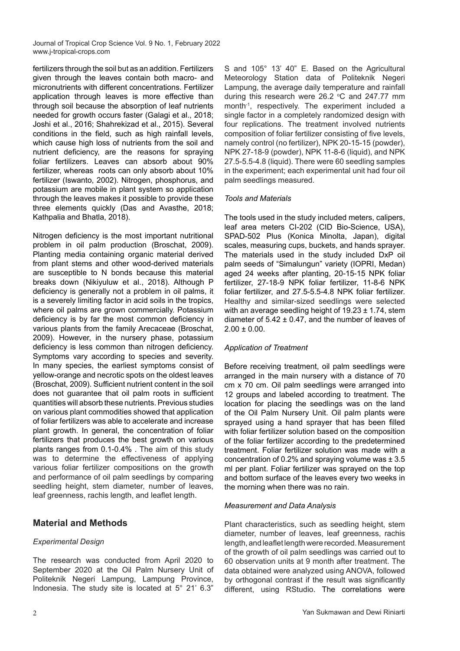fertilizers through the soil but as an addition. Fertilizers given through the leaves contain both macro- and micronutrients with different concentrations. Fertilizer application through leaves is more effective than through soil because the absorption of leaf nutrients needed for growth occurs faster (Galagi et al., 2018; Joshi et al., 2016; Shahrekizad et al., 2015). Several conditions in the field, such as high rainfall levels, which cause high loss of nutrients from the soil and nutrient deficiency, are the reasons for spraying foliar fertilizers. Leaves can absorb about 90% fertilizer, whereas roots can only absorb about 10% fertilizer (Iswanto, 2002). Nitrogen, phosphorus, and potassium are mobile in plant system so application through the leaves makes it possible to provide these three elements quickly (Das and Avasthe, 2018; Kathpalia and Bhatla, 2018).

Nitrogen deficiency is the most important nutritional problem in oil palm production (Broschat, 2009). Planting media containing organic material derived from plant stems and other wood-derived materials are susceptible to N bonds because this material breaks down (Nikiyuluw et al., 2018). Although P deficiency is generally not a problem in oil palms, it is a severely limiting factor in acid soils in the tropics, where oil palms are grown commercially. Potassium deficiency is by far the most common deficiency in various plants from the family Arecaceae (Broschat, 2009). However, in the nursery phase, potassium deficiency is less common than nitrogen deficiency. Symptoms vary according to species and severity. In many species, the earliest symptoms consist of yellow-orange and necrotic spots on the oldest leaves (Broschat, 2009). Sufficient nutrient content in the soil does not guarantee that oil palm roots in sufficient quantities will absorb these nutrients. Previous studies on various plant commodities showed that application of foliar fertilizers was able to accelerate and increase plant growth. In general, the concentration of foliar fertilizers that produces the best growth on various plants ranges from 0.1-0.4% . The aim of this study was to determine the effectiveness of applying various foliar fertilizer compositions on the growth and performance of oil palm seedlings by comparing seedling height, stem diameter, number of leaves, leaf greenness, rachis length, and leaflet length.

## **Material and Methods**

## *Experimental Design*

The research was conducted from April 2020 to September 2020 at the Oil Palm Nursery Unit of Politeknik Negeri Lampung, Lampung Province, Indonesia. The study site is located at 5° 21' 6.3"

S and 105° 13' 40" E. Based on the Agricultural Meteorology Station data of Politeknik Negeri Lampung, the average daily temperature and rainfall during this research were 26.2  $\degree$ C and 247.77 mm month-1, respectively. The experiment included a single factor in a completely randomized design with four replications. The treatment involved nutrients composition of foliar fertilizer consisting of five levels, namely control (no fertilizer), NPK 20-15-15 (powder), NPK 27-18-9 (powder), NPK 11-8-6 (liquid), and NPK 27.5-5.5-4.8 (liquid). There were 60 seedling samples in the experiment; each experimental unit had four oil palm seedlings measured.

#### *Tools and Materials*

The tools used in the study included meters, calipers, leaf area meters CI-202 (CID Bio-Science, USA), SPAD-502 Plus (Konica Minolta, Japan), digital scales, measuring cups, buckets, and hands sprayer. The materials used in the study included DxP oil palm seeds of "Simalungun" variety (IOPRI, Medan) aged 24 weeks after planting, 20-15-15 NPK foliar fertilizer, 27-18-9 NPK foliar fertilizer, 11-8-6 NPK foliar fertilizer, and 27.5-5.5-4.8 NPK foliar fertilizer. Healthy and similar-sized seedlings were selected with an average seedling height of  $19.23 \pm 1.74$ , stem diameter of  $5.42 \pm 0.47$ , and the number of leaves of  $2.00 \pm 0.00$ .

#### *Application of Treatment*

Before receiving treatment, oil palm seedlings were arranged in the main nursery with a distance of 70 cm x 70 cm. Oil palm seedlings were arranged into 12 groups and labeled according to treatment. The location for placing the seedlings was on the land of the Oil Palm Nursery Unit. Oil palm plants were sprayed using a hand sprayer that has been filled with foliar fertilizer solution based on the composition of the foliar fertilizer according to the predetermined treatment. Foliar fertilizer solution was made with a concentration of 0.2% and spraying volume was ± 3.5 ml per plant. Foliar fertilizer was sprayed on the top and bottom surface of the leaves every two weeks in the morning when there was no rain.

#### *Measurement and Data Analysis*

Plant characteristics, such as seedling height, stem diameter, number of leaves, leaf greenness, rachis length, and leaflet length were recorded. Measurement of the growth of oil palm seedlings was carried out to 60 observation units at 9 month after treatment. The data obtained were analyzed using ANOVA, followed by orthogonal contrast if the result was significantly different, using RStudio. The correlations were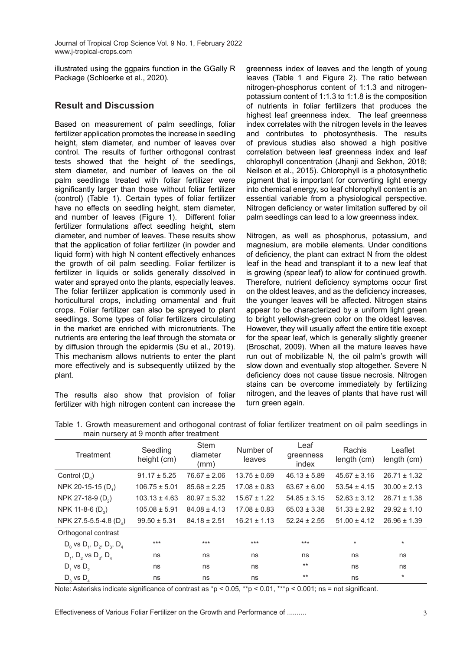illustrated using the ggpairs function in the GGally R Package (Schloerke et al., 2020).

# **Result and Discussion**

Based on measurement of palm seedlings, foliar fertilizer application promotes the increase in seedling height, stem diameter, and number of leaves over control. The results of further orthogonal contrast tests showed that the height of the seedlings, stem diameter, and number of leaves on the oil palm seedlings treated with foliar fertilizer were significantly larger than those without foliar fertilizer (control) (Table 1). Certain types of foliar fertilizer have no effects on seedling height, stem diameter, and number of leaves (Figure 1). Different foliar fertilizer formulations affect seedling height, stem diameter, and number of leaves. These results show that the application of foliar fertilizer (in powder and liquid form) with high N content effectively enhances the growth of oil palm seedling. Foliar fertilizer is fertilizer in liquids or solids generally dissolved in water and sprayed onto the plants, especially leaves. The foliar fertilizer application is commonly used in horticultural crops, including ornamental and fruit crops. Foliar fertilizer can also be sprayed to plant seedlings. Some types of foliar fertilizers circulating in the market are enriched with micronutrients. The nutrients are entering the leaf through the stomata or by diffusion through the epidermis (Su et al., 2019). This mechanism allows nutrients to enter the plant more effectively and is subsequently utilized by the plant.

The results also show that provision of foliar fertilizer with high nitrogen content can increase the

greenness index of leaves and the length of young leaves (Table 1 and Figure 2). The ratio between nitrogen-phosphorus content of 1:1.3 and nitrogenpotassium content of 1:1.3 to 1:1.8 is the composition of nutrients in foliar fertilizers that produces the highest leaf greenness index. The leaf greenness index correlates with the nitrogen levels in the leaves and contributes to photosynthesis. The results of previous studies also showed a high positive correlation between leaf greenness index and leaf chlorophyll concentration (Jhanji and Sekhon, 2018; Neilson et al., 2015). Chlorophyll is a photosynthetic pigment that is important for converting light energy into chemical energy, so leaf chlorophyll content is an essential variable from a physiological perspective. Nitrogen deficiency or water limitation suffered by oil palm seedlings can lead to a low greenness index.

Nitrogen, as well as phosphorus, potassium, and magnesium, are mobile elements. Under conditions of deficiency, the plant can extract N from the oldest leaf in the head and transplant it to a new leaf that is growing (spear leaf) to allow for continued growth. Therefore, nutrient deficiency symptoms occur first on the oldest leaves, and as the deficiency increases, the younger leaves will be affected. Nitrogen stains appear to be characterized by a uniform light green to bright yellowish-green color on the oldest leaves. However, they will usually affect the entire title except for the spear leaf, which is generally slightly greener (Broschat, 2009). When all the mature leaves have run out of mobilizable N, the oil palm's growth will slow down and eventually stop altogether. Severe N deficiency does not cause tissue necrosis. Nitrogen stains can be overcome immediately by fertilizing nitrogen, and the leaves of plants that have rust will turn green again.

| Treatment                              | Seedling<br>height (cm) | <b>Stem</b><br>diameter<br>(mm) | Number of<br>leaves | Leaf<br>greenness<br>index | Rachis<br>length (cm) | Leaflet<br>length (cm) |
|----------------------------------------|-------------------------|---------------------------------|---------------------|----------------------------|-----------------------|------------------------|
| Control $(D_0)$                        | $91.17 \pm 5.25$        | $76.67 \pm 2.06$                | $13.75 \pm 0.69$    | $46.13 \pm 5.89$           | $45.67 \pm 3.16$      | $26.71 \pm 1.32$       |
| NPK 20-15-15 (D <sub>1</sub> )         | $106.75 \pm 5.01$       | $85.68 \pm 2.25$                | $17.08 \pm 0.83$    | $63.67 \pm 6.00$           | $53.54 \pm 4.15$      | $30.00 \pm 2.13$       |
| NPK 27-18-9 (D <sub>2</sub> )          | $103.13 \pm 4.63$       | $80.97 \pm 5.32$                | $15.67 \pm 1.22$    | $54.85 \pm 3.15$           | $52.63 \pm 3.12$      | $28.71 \pm 1.38$       |
| NPK 11-8-6 $(D_2)$                     | $105.08 \pm 5.91$       | $84.08 \pm 4.13$                | $17.08 \pm 0.83$    | $65.03 \pm 3.38$           | $51.33 \pm 2.92$      | $29.92 \pm 1.10$       |
| NPK 27.5-5.5-4.8 (D <sub>4</sub> )     | $99.50 \pm 5.31$        | $84.18 \pm 2.51$                | $16.21 \pm 1.13$    | $52.24 \pm 2.55$           | $51.00 \pm 4.12$      | $26.96 \pm 1.39$       |
| Orthogonal contrast                    |                         |                                 |                     |                            |                       |                        |
| $D_0$ vs $D_1$ , $D_2$ , $D_3$ , $D_4$ | $***$                   | $***$                           | $***$               | $***$                      | $\star$               | $\star$                |
| $D_1$ , $D_2$ vs $D_3$ , $D_4$         | ns                      | ns                              | ns                  | ns                         | ns                    | ns                     |
| $D_1$ vs $D_2$                         | ns                      | ns                              | ns                  | $***$                      | ns                    | ns                     |
| $D_3$ vs $D_4$                         | ns                      | ns                              | ns                  | $***$                      | ns                    | $\star$                |

Table 1. Growth measurement and orthogonal contrast of foliar fertilizer treatment on oil palm seedlings in main nursery at 9 month after treatment

Note: Asterisks indicate significance of contrast as  $p < 0.05$ , \*\*p < 0.01, \*\*\*p < 0.001; ns = not significant.

Effectiveness of Various Foliar Fertilizer on the Growth and Performance of ..........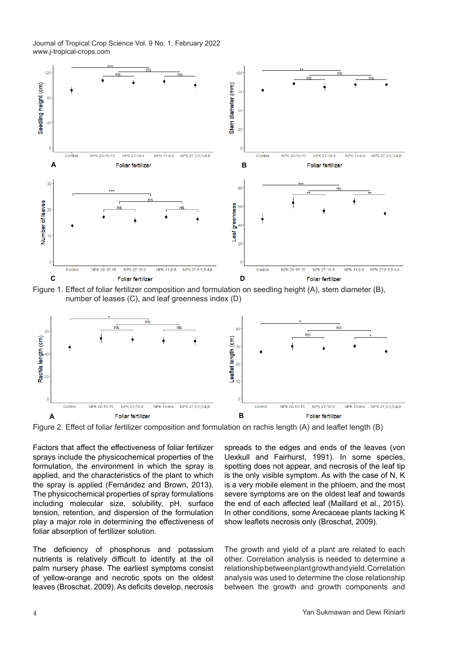

 $S^2$  and the contract composition and compared on obscaling neight  $\langle v, \eta \rangle$  stem alameter  $(z)$ , number of leases (C), and leaf greenness index (D)  $\mathbb{R}^n$ , number of least green index (D), and least green index (D) Figure 1. Effect of foliar fertilizer composition and formulation on seedling height (A), stem diameter (B),



Figure 2. Effect of foliar fertilizer composition and formulation on rachis length (A) and leaflet length (B)

Factors that affect the effectiveness of foliar fertilizer r actors that allect the ellectiveness of folial fertilizer<br>sprays include the physicochemical properties of the formulation, the environment in which the spray is applied, and the characteristics of the plant to which the spray is applied (Fernández and Brown, 2013). The physicochemical properties of spray formulations including molecular size, solubility, pH, surface tension, retention, and dispersion of the formulation play a major role in determining the effectiveness of foliar absorption of fertilizer solution.

The deficiency of phosphorus and potassium nutrients is relatively difficult to identify at the oil palm nursery phase. The earliest symptoms consist of yellow-orange and necrotic spots on the oldest leaves (Broschat, 2009). As deficits develop, necrosis

actors that affect the effectiveness of foliar fertilizer spreads to the edges and ends of the leaves (von Uexkull and Fairhurst, 1991). In some species, spotting does not appear, and necrosis of the leaf tip is the only visible symptom. As with the case of N, K is a very mobile element in the phloem, and the most severe symptoms are on the oldest leaf and towards the end of each affected leaf (Maillard et al., 2015). In other conditions, some Arecaceae plants lacking K show leaflets necrosis only (Broschat, 2009).

The growth and yield of a plant are related to each other. Correlation and provide the correlation and formulation analysis is needed to determine a uniformulation on rachistance composition of the composition of the composition of the composition on rachistance and the com relationship between plant growth and yield. Correlation analysis was used to determine the close relationship between the growth and growth components and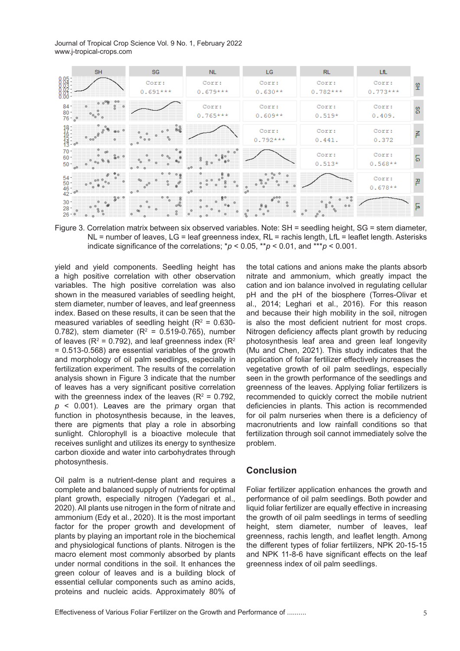Journal of Tropical Crop Science Vol. 9 No. 1, February 2022 ood....d. or hopical-crops.com<br>www.j-tropical-crops.com



Figure 3. Correlation matrix between six observed variables. Note: SH = seedling height, SG = stem NL = number of leaves, LG = leaf greenness index, RL = rachis length, LfL = leaflet length. Asterisks diameter of the correlations:  $n \leq n \leq 0.05$   $\leq n \leq 0.01$  and  $\leq n \leq 0.001$ indicate significance of the correlations;  ${}^*\!p$  < 0.05,  ${}^*\!p$  < 0.01, and  ${}^{\ast\ast\ast}p$  < 0.001.

yield and yield components. Seedling height has a high positive correlation with other observation variables. The high positive correlation was also shown in the measured variables of seedling height, stem diameter, number of leaves, and leaf greenness index. Based on these results, it can be seen that the measured variables of seedling height ( $R^2 = 0.630$ -0.782), stem diameter ( $R^2 = 0.519$ -0.765), number of leaves ( $R^2$  = 0.792), and leaf greenness index ( $R^2$ = 0.513-0.568) are essential variables of the growth and morphology of oil palm seedlings, especially in fertilization experiment. The results of the correlation analysis shown in Figure 3 indicate that the number of leaves has a very significant positive correlation with the greenness index of the leaves ( $R^2$  = 0.792, *p* < 0.001). Leaves are the primary organ that function in photosynthesis because, in the leaves, there are pigments that play a role in absorbing sunlight. Chlorophyll is a bioactive molecule that receives sunlight and utilizes its energy to synthesize carbon dioxide and water into carbohydrates through photosynthesis.

Oil palm is a nutrient-dense plant and requires a complete and balanced supply of nutrients for optimal plant growth, especially nitrogen (Yadegari et al., 2020). All plants use nitrogen in the form of nitrate and ammonium (Edy et al., 2020). It is the most important factor for the proper growth and development of plants by playing an important role in the biochemical and physiological functions of plants. Nitrogen is the macro element most commonly absorbed by plants under normal conditions in the soil. It enhances the green colour of leaves and is a building block of essential cellular components such as amino acids, proteins and nucleic acids. Approximately 80% of

the total cations and anions make the plants absorb nitrate and ammonium, which greatly impact the cation presents in the categorian correlation and yield the meaning measurement, where growth and yield are variables. The high positive correlation was also cation and ion balance involved in regulating cellular shown in the measured variables of seedling height, pH and the pH of the biosphere (Torres-Olivar et stem diameter, number of leaves, and leaf greenness al., 2014; Leghari et al., 2016). For this reason index. Based on these results, it can be seen that the and because their high mobility in the soil, nitrogen measured variables of seedling height ( $R^2 = 0.630$ - is also the most deficient nutrient for most crops. 0.782), stem diameter ( $R^2 = 0.519$ -0.765), number Nitrogen deficiency affects plant growth by reducing photosynthesis leaf area and green leaf longevity (Mu and Chen, 2021). This study indicates that the application of foliar fertilizer effectively increases the vegetative growth of oil palm seedlings, especially seen in the growth performance of the seedlings and greenness of the leaves. Applying foliar fertilizers is recommended to quickly correct the mobile nutrient deficiencies in plants. This action is recommended for oil palm nurseries when there is a deficiency of macronutrients and low rainfall conditions so that fertilization through soil cannot immediately solve the problem. Figure 3. Correlation matrix between six observed variables. Note: SH = seedling height, SG = stem diameter,<br>
NL = number of leaves, LG = leaf greenness index, RL = rachis length, LfL = leaflet length. Asterisks<br>
indicate

## **Conclusion**

Foliar fertilizer application enhances the growth and performance of oil palm seedlings. Both powder and liquid foliar fertilizer are equally effective in increasing the growth of oil palm seedlings in terms of seedling height, stem diameter, number of leaves, leaf greenness, rachis length, and leaflet length. Among the different types of foliar fertilizers, NPK 20-15-15 and NPK 11-8-6 have significant effects on the leaf greenness index of oil palm seedlings.

Effectiveness of Various Foliar Fertilizer on the Growth and Performance of ..........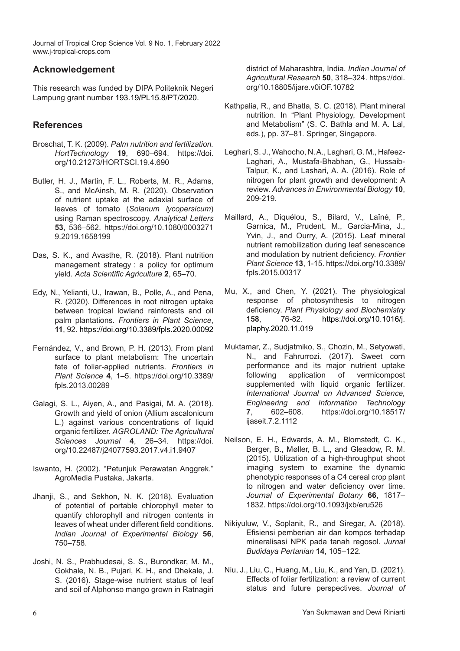## **Acknowledgement**

This research was funded by DIPA Politeknik Negeri Lampung grant number 193.19/PL15.8/PT/2020.

# **References**

- Broschat, T. K. (2009). *Palm nutrition and fertilization. HortTechnology* **19**, 690–694. https://doi. org/10.21273/HORTSCI.19.4.690
- Butler, H. J., Martin, F. L., Roberts, M. R., Adams, S., and McAinsh, M. R. (2020). Observation of nutrient uptake at the adaxial surface of leaves of tomato (*Solanum lycopersicum*) using Raman spectroscopy. *Analytical Letters*  **53**, 536–562. https://doi.org/10.1080/0003271 9.2019.1658199
- Das, S. K., and Avasthe, R. (2018). Plant nutrition management strategy : a policy for optimum yield. *Acta Scientific Agriculture* **2**, 65–70.
- Edy, N., Yelianti, U., Irawan, B., Polle, A., and Pena, R. (2020). Differences in root nitrogen uptake between tropical lowland rainforests and oil palm plantations. *Frontiers in Plant Science*, **11**, 92. https://doi.org/10.3389/fpls.2020.00092
- Fernández, V., and Brown, P. H. (2013). From plant surface to plant metabolism: The uncertain fate of foliar-applied nutrients. *Frontiers in Plant Science* **4**, 1–5. https://doi.org/10.3389/ fpls.2013.00289
- Galagi, S. L., Aiyen, A., and Pasigai, M. A. (2018). Growth and yield of onion (Allium ascalonicum L.) against various concentrations of liquid organic fertilizer. *AGROLAND: The Agricultural Sciences Journal* **4**, 26–34. https://doi. org/10.22487/j24077593.2017.v4.i1.9407
- Iswanto, H. (2002). "Petunjuk Perawatan Anggrek." AgroMedia Pustaka, Jakarta.
- Jhanii, S., and Sekhon, N. K. (2018). Evaluation of potential of portable chlorophyll meter to quantify chlorophyll and nitrogen contents in leaves of wheat under different field conditions. *Indian Journal of Experimental Biology* **56**, 750–758.
- Joshi, N. S., Prabhudesai, S. S., Burondkar, M. M., Gokhale, N. B., Pujari, K. H., and Dhekale, J. S. (2016). Stage-wise nutrient status of leaf and soil of Alphonso mango grown in Ratnagiri

district of Maharashtra, India. *Indian Journal of Agricultural Research* **50**, 318–324. https://doi. org/10.18805/ijare.v0iOF.10782

- Kathpalia, R., and Bhatla, S. C. (2018). Plant mineral nutrition. In "Plant Physiology, Development and Metabolism" (S. C. Bathla and M. A. Lal, eds.), pp. 37–81. Springer, Singapore.
- Leghari, S. J., Wahocho, N. A., Laghari, G. M., Hafeez-Laghari, A., Mustafa-Bhabhan, G., Hussaib-Talpur, K., and Lashari, A. A. (2016). Role of nitrogen for plant growth and development: A review. *Advances in Environmental Biology* **10**, 209-219.
- Maillard, A., Diquélou, S., Bilard, V., Laîné, P., Garnica, M., Prudent, M., Garcia-Mina, J., Yvin, J., and Ourry, A. (2015). Leaf mineral nutrient remobilization during leaf senescence and modulation by nutrient deficiency. *Frontier Plant Science* **13**, 1-15. https://doi.org/10.3389/ fpls.2015.00317
- Mu, X., and Chen, Y. (2021). The physiological response of photosynthesis to nitrogen deficiency. *Plant Physiology and Biochemistry*  **158**, 76-82. https://doi.org/10.1016/j. plaphy.2020.11.019
- Muktamar, Z., Sudjatmiko, S., Chozin, M., Setyowati, N., and Fahrurrozi. (2017). Sweet corn performance and its major nutrient uptake following application of vermicompost supplemented with liquid organic fertilizer. *International Journal on Advanced Science, Engineering and Information Technology*  **7**, 602–608. https://doi.org/10.18517/ ijaseit.7.2.1112
- Neilson, E. H., Edwards, A. M., Blomstedt, C. K., Berger, B., Møller, B. L., and Gleadow, R. M. (2015). Utilization of a high-throughput shoot imaging system to examine the dynamic phenotypic responses of a C4 cereal crop plant to nitrogen and water deficiency over time. *Journal of Experimental Botany* **66**, 1817– 1832. https://doi.org/10.1093/jxb/eru526
- Nikiyuluw, V., Soplanit, R., and Siregar, A. (2018). Efisiensi pemberian air dan kompos terhadap mineralisasi NPK pada tanah regosol. *Jurnal Budidaya Pertanian* **14**, 105–122.
- Niu, J., Liu, C., Huang, M., Liu, K., and Yan, D. (2021). Effects of foliar fertilization: a review of current status and future perspectives. *Journal of*